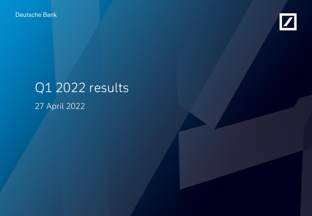Deutsche Bank



# Q1 2022 results 27 April 2022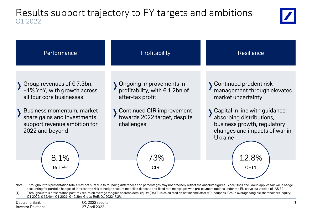### Results support trajectory to FY targets and ambitions Q1 2022





Note: Throughout this presentation totals may not sum due to rounding differences and percentages may not precisely reflect the absolute figures. Since 2020, the Group applies fair value hedge accounting for portfolio hedges of interest rate risk to hedge account modelled deposits and fixed rate mortgages with pre-payment options under the EU carve out version of IAS 39 (1) Throughout this presentation post-tax return on average tangible shareholders' equity (RoTE) is calculated on net income after AT1 coupons. Group average tangible shareholders' equity: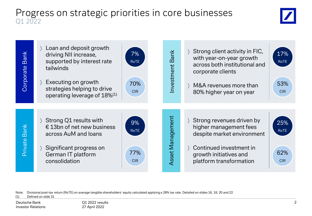### Progress on strategic priorities in core businesses Q1 2022





Note: Divisional post-tax return (RoTE) on average tangible shareholders' equity calculated applying a 28% tax rate. Detailed on slides 16, 18, 20 and 22

(1) Defined on slide 31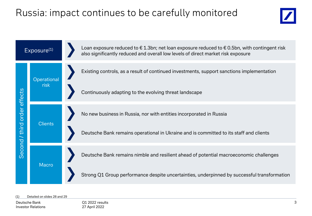## Russia: impact continues to be carefully monitored





#### Detailed on slides 28 and 29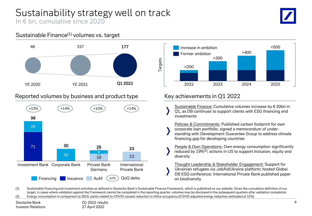### Sustainability strategy well on track In € bn, cumulative since 2020

### Sustainable Finance(1) volumes vs. target



### Reported volumes by business and product type





### Key achievements in Q1 2022

- Sustainable Finance: Cumulative volumes increase by € 20bn in Q1, as DB continues to support clients with ESG financing and investments
- Policies & Commitments: Published carbon footprint for own corporate loan portfolio; signed a memorandum of understanding with Development Guarantee Group to address climate financing gap for developing countries
- People & Own Operations: Own energy consumption significantly reduced by 19%(2); actions in US to support inclusion, equity and diversity

Thought Leadership & Stakeholder Engagement: Support for Ukrainian refugees via JobAidUkraine platform; hosted Global DB ESG conference; International Private Bank published paper on biodiversity

(1) Sustainable financing and investment activities as defined in Deutsche Bank's Sustainable Finance Framework, which is published on our website. Given the cumulative definition of our target, in cases where validation against the Framework cannot be completed in the reporting quarter, volumes may be disclosed in the subsequent quarters after validation completion (2) Energy consumption in comparison to 2019, partly related to COVID-caused reduction in office occupancy (COVID-adjusted energy reduction estimated at 12%)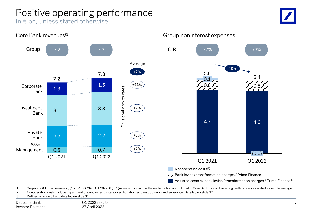# Positive operating performance

In € bn, unless stated otherwise





(1) Corporate & Other revenues (Q1 2021:  $\epsilon$  (73)m, Q1 2022:  $\epsilon$  (353)m are not shown on these charts but are included in Core Bank totals. Average growth rate is calculated as simple average

(2) Nonoperating costs include impairment of goodwill and intangibles, litigation, and restructuring and severance. Detailed on slide 32

(3) Defined on slide 31 and detailed on slide 32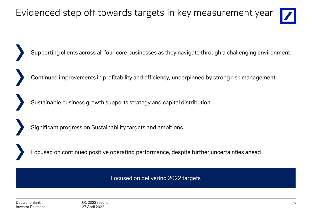Evidenced step off towards targets in key measurement year



Supporting clients across all four core businesses as they navigate through a challenging environment

Continued improvements in profitability and efficiency, underpinned by strong risk management

Sustainable business growth supports strategy and capital distribution

Significant progress on Sustainability targets and ambitions

Focused on continued positive operating performance, despite further uncertainties ahead

Focused on delivering 2022 targets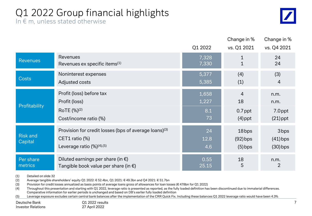# Q1 2022 Group financial highlights

In  $\epsilon$  m, unless stated otherwise

|                                   |                                                                                                                        | Q1 2022           | Change in %<br>vs. Q1 2021       | Change in %<br>vs. Q4 2021                   |
|-----------------------------------|------------------------------------------------------------------------------------------------------------------------|-------------------|----------------------------------|----------------------------------------------|
| <b>Revenues</b>                   | <b>Revenues</b>                                                                                                        | 7,328             | $\mathbf{1}$                     | 24                                           |
|                                   | Revenues ex specific items <sup>(1)</sup>                                                                              | 7,330             | 1                                | 24                                           |
| <b>Costs</b>                      | Noninterest expenses                                                                                                   | 5,377             | (4)                              | (3)                                          |
|                                   | Adjusted costs                                                                                                         | 5,385             | (1)                              | 4                                            |
| Profitability                     | Profit (loss) before tax                                                                                               | 1,658             | $\overline{4}$                   | n.m.                                         |
|                                   | Profit (loss)                                                                                                          | 1,227             | 18                               | n.m.                                         |
|                                   | RoTE (%) <sup>(2)</sup>                                                                                                | 8.1               | $0.7$ ppt                        | 7.0ppt                                       |
|                                   | Cost/income ratio (%)                                                                                                  | 73                | $(4)$ ppt                        | $(21)$ ppt                                   |
| <b>Risk and</b><br><b>Capital</b> | Provision for credit losses (bps of average loans) <sup>(3)</sup><br>CET1 ratio (%)<br>Leverage ratio $(\%)^{(4),(5)}$ | 24<br>12.8<br>4.6 | 18bps<br>$(92)$ bps<br>$(5)$ bps | 3 <sub>bps</sub><br>$(41)$ bps<br>$(30)$ bps |
| Per share                         | Diluted earnings per share (in $\epsilon$ )                                                                            | 0.55              | 18                               | n.m.                                         |
| metrics                           | Tangible book value per share (in $\epsilon$ )                                                                         | 25.15             | 5                                | $\overline{2}$                               |

(1) Detailed on slide 32

(2) Average tangible shareholders' equity Q1 2022: € 52.4bn, Q1 2021: € 49.3bn and Q4 2021: € 51.7bn

(3) Provision for credit losses annualized as basis points of average loans gross of allowances for loan losses (€ 478bn for Q1 2022)

(4) Throughout this presentation and starting with Q1 2022, leverage ratio is presented as reported, as the fully loaded definition has been discontinued due to immaterial differences. Comparative information for earlier periods is unchanged and based on DB's earlier fully loaded definition

(5) Leverage exposure excludes certain central bank balances after the implementation of the CRR Quick Fix. Including these balances Q1 2022 leverage ratio would have been 4.3%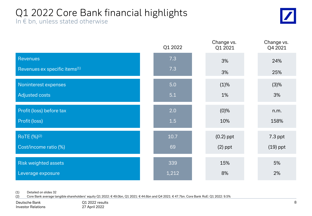# Q1 2022 Core Bank financial highlights

In € bn, unless stated otherwise



|                                           | Q1 2022 | Change vs.<br>Q1 2021 | Change vs.<br>Q4 2021 |
|-------------------------------------------|---------|-----------------------|-----------------------|
| <b>Revenues</b>                           | 7.3     | 3%                    | 24%                   |
| Revenues ex specific items <sup>(1)</sup> | 7.3     | 3%                    | 25%                   |
| Noninterest expenses                      | 5.0     | (1)%                  | (3)%                  |
| <b>Adjusted costs</b>                     | 5.1     | 1%                    | 3%                    |
| Profit (loss) before tax                  | 2.0     | (0)%                  | n.m.                  |
| Profit (loss)                             | 1.5     | 10%                   | 158%                  |
| RoTE (%) <sup>(2)</sup>                   | 10.7    | $(0.2)$ ppt           | $7.3$ ppt             |
| Cost/income ratio (%)                     | 69      | $(2)$ ppt             | $(19)$ ppt            |
| <b>Risk weighted assets</b>               | 339     | 15%                   | 5%                    |
| Leverage exposure                         | 1,212   | 8%                    | 2%                    |

(1) Detailed on slides 32

(2) Core Bank average tangible shareholders' equity Q1 2022: € 49.0bn, Q1 2021: € 44.6bn and Q4 2021: € 47.7bn. Core Bank RoE: Q1 2022: 9.5%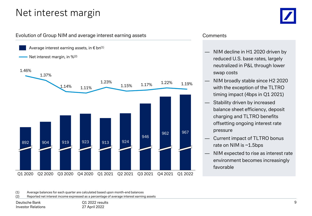### Net interest margin



#### Evolution of Group NIM and average interest earning assets



#### **Comments**

- NIM decline in H1 2020 driven by reduced U.S. base rates, largely neutralized in P&L through lower swap costs
- NIM broadly stable since H2 2020 with the exception of the TLTRO timing impact (4bps in Q1 2021)
- Stability driven by increased balance sheet efficiency, deposit charging and TLTRO benefits offsetting ongoing interest rate pressure
- Current impact of TLTRO bonus rate on NIM is ~1.5bps
- NIM expected to rise as interest rate environment becomes increasingly favorable

(1) Average balances for each quarter are calculated based upon month-end balances

(2) Reported net interest income expressed as a percentage of average interest earning assets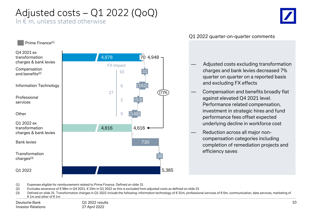# Adjusted costs – Q1 2022 (QoQ)

In  $\epsilon$  m, unless stated otherwise



#### $\mathscr{W}_h$  Prime Finance<sup>(1)</sup>



#### Q1 2022 quarter-on-quarter comments

- Adjusted costs excluding transformation charges and bank levies decreased 7% quarter on quarter on a reported basis and excluding FX effects
- Compensation and benefits broadly flat against elevated Q4 2021 level. Performance related compensation, investment in strategic hires and fund performance fees offset expected underlying decline in workforce cost
- Reduction across all major noncompensation categories including completion of remediation projects and efficiency saves

(1) Expenses eligible for reimbursement related to Prime Finance. Defined on slide 31

- (2) Excludes severance of €98m in Q4 2021, €10m in Q1 2022 as this is excluded from adjusted costs as defined on slide 31
- (3) Defined on slide 31. Transformation charges in Q1 2022 include the following: information technology of € 31m, professional services of € 6m, communication, data services, marketing of € 1m and other of € 1m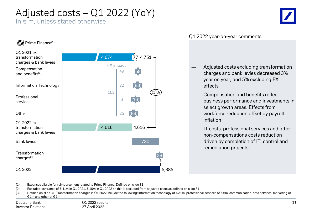# Adjusted costs – Q1 2022 (YoY)

In  $\epsilon$  m, unless stated otherwise



#### Q1 2022 year-on-year comments

- Adjusted costs excluding transformation charges and bank levies decreased 3% year on year, and 5% excluding FX effects
- Compensation and benefits reflect business performance and investments in select growth areas. Effects from workforce reduction offset by payroll inflation
- IT costs, professional services and other non-compensations costs reduction driven by completion of IT, control and remediation projects





(1) Expenses eligible for reimbursement related to Prime Finance. Defined on slide 31

- (2) Excludes severance of €41m in Q1 2021, €10m in Q1 2022 as this is excluded from adjusted costs as defined on slide 31
- (3) Defined on slide 31. Transformation charges in Q1 2022 include the following: information technology of € 31m, professional services of € 6m, communication, data services, marketing of € 1m and other of € 1m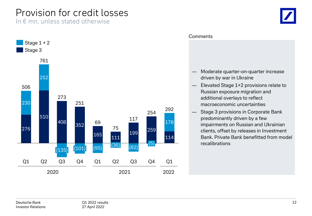## Provision for credit losses

In  $\epsilon$  mn, unless stated otherwise



#### **Comments**

- Moderate quarter-on-quarter increase driven by war in Ukraine
- Elevated Stage 1+2 provisions relate to Russian exposure migration and additional overlays to reflect macroeconomic uncertainties
- Stage 3 provisions in Corporate Bank predominantly driven by a few impairments on Russian and Ukrainian clients, offset by releases in Investment Bank. Private Bank benefitted from model recalibrations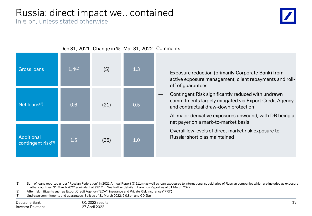## Russia: direct impact well contained

In  $\epsilon$  bn, unless stated otherwise



|                                              |        | Dec 31, 2021 Change in % Mar 31, 2022 Comments |     |                                                                                                                                                                                                                 |
|----------------------------------------------|--------|------------------------------------------------|-----|-----------------------------------------------------------------------------------------------------------------------------------------------------------------------------------------------------------------|
| <b>Gross loans</b>                           | 1.4(1) | (5)                                            | 1.3 | Exposure reduction (primarily Corporate Bank) from<br>active exposure management, client repayments and roll-<br>off of guarantees                                                                              |
| Net $loans(2)$                               | 0.6    | (21)                                           | 0.5 | Contingent Risk significantly reduced with undrawn<br>commitments largely mitigated via Export Credit Agency<br>and contractual draw-down protection<br>All major derivative exposures unwound, with DB being a |
| Additional<br>contingent risk <sup>(3)</sup> | 1.5    | (35)                                           | 1.0 | net payer on a mark-to-market basis<br>Overall low levels of direct market risk exposure to<br>Russia; short bias maintained                                                                                    |

(1) Sum of loans reported under "Russian Federation" in 2021 Annual Report (€ 911m) as well as loan exposures to international subsidiaries of Russian companies which are included as exposure in other countries. 31 March 2022 equivalent at € 812m. See further details in Earnings Report as of 31 March 2022

(2) After risk mitigants such as Export Credit Agency ("ECA") insurance and Private Risk Insurance ("PRI")

(3) Undrawn commitments and guarantees. Split as of 31 March 2022: € 0.8bn and € 0.2bn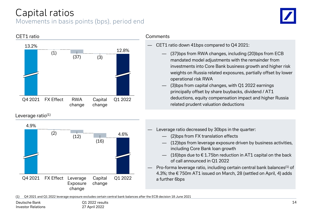# Capital ratios

### Movements in basis points (bps), period end





#### Leverage ratio<sup>(1)</sup>



#### **Comments**

- CET1 ratio down 41bps compared to Q4 2021:
	- (37)bps from RWA changes, including (20)bps from ECB mandated model adjustments with the remainder from investments into Core Bank business growth and higher risk weights on Russia related exposures, partially offset by lower operational risk RWA
	- $(3)$ bps from capital changes, with Q1 2022 earnings principally offset by share buybacks, dividend / AT1 deductions, equity compensation impact and higher Russia related prudent valuation deductions
	- Leverage ratio decreased by 30bps in the quarter:
		- (2)bps from FX translation effects
		- (12)bps from leverage exposure driven by business activities, including Core Bank loan growth
		- $-$  (16)bps due to  $\epsilon$  1.75bn reduction in AT1 capital on the back of call announced in Q1 2022
	- Pro-forma leverage ratio, including certain central bank balances<sup>(1)</sup> of 4.3%; the € 750m AT1 issued on March, 28 (settled on April, 4) adds a further 6bps

(1) Q4 2021 and Q1 2022 leverage exposure excludes certain central bank balances after the ECB decision 18 June 2021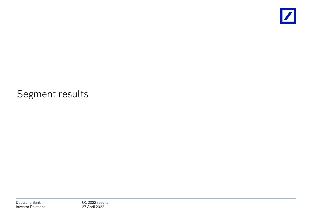

### Segment results

Deutsche Bank Investor Relations Q1 2022 results 27 April 2022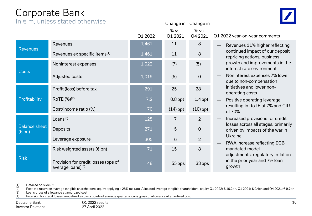### Corporate Bank

 $In \notin \mathbb{m}$ , unless stated otherwise

|                                         | In E III, unless stated otherwise                                    |         | Change in        | Change in        |        |
|-----------------------------------------|----------------------------------------------------------------------|---------|------------------|------------------|--------|
|                                         |                                                                      | Q1 2022 | % vs.<br>Q1 2021 | % vs.<br>Q4 2021 | Q1 202 |
|                                         | Revenues                                                             | 1,461   | 11               | 8                |        |
| <b>Revenues</b>                         | Revenues ex specific items <sup>(1)</sup>                            | 1,461   | 11               | 8                |        |
|                                         | Noninterest expenses                                                 | 1,022   | (7)              | (5)              |        |
| <b>Costs</b>                            | Adjusted costs                                                       | 1,019   | (5)              | $\overline{0}$   |        |
|                                         | Profit (loss) before tax                                             | 291     | 25               | 28               |        |
| Profitability                           | RoTE (%) <sup>(2)</sup>                                              | 7.2     | $0.8$ ppt        | $1.4$ ppt        |        |
|                                         | Cost/income ratio (%)                                                | 70      | $(14)$ ppt       | $(10)$ ppt       |        |
|                                         | Loans <sup>(3)</sup>                                                 | 125     | 7                | $\overline{2}$   |        |
| <b>Balance sheet</b><br>$(\epsilon$ bn) | Deposits                                                             | 271     | 5                | $\overline{0}$   |        |
|                                         | Leverage exposure                                                    | 305     | 6                | $\overline{2}$   |        |
|                                         | Risk weighted assets ( $\epsilon$ bn)                                | 71      | 15               | 8                |        |
| <b>Risk</b>                             | Provision for credit losses (bps of<br>average loans) <sup>(4)</sup> | 48      | 55 bps           | 33 bps           |        |

22 year-on-year comments

- Revenues 11% higher reflecting continued impact of our deposit repricing actions, business growth and improvements in the interest rate environment
- Noninterest expenses 7% lower due to non-compensation initiatives and lower nonoperating costs
- Positive operating leverage resulting in RoTE of 7% and CIR of 70%
- Increased provisions for credit losses across all stages, primarily driven by impacts of the war in Ukraine
- RWA increase reflecting ECB mandated model adjustments, regulatory inflation in the prior year and 7% loan growth

(1) Detailed on slide 32

(2) Post-tax return on average tangible shareholders' equity applying a 28% tax rate. Allocated average tangible shareholders' equity Q1 2022: € 10.2bn, Q1 2021: € 9.4bn and Q4 2021: € 9.7bn

(3) Loans gross of allowance at amortized cost

(4) Provision for credit losses annualized as basis points of average quarterly loans gross of allowance at amortized cost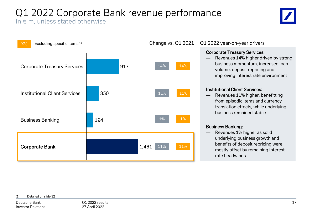# Q1 2022 Corporate Bank revenue performance

### In  $\epsilon$  m, unless stated otherwise





#### Change vs. Q1 2021 Q1 2022 year-on-year drivers

#### Corporate Treasury Services:

Revenues 14% higher driven by strong business momentum, increased loan volume, deposit repricing and improving interest rate environment

#### Institutional Client Services:

Revenues 11% higher, benefitting from episodic items and currency translation effects, while underlying business remained stable

#### Business Banking:

Revenues 1% higher as solid underlying business growth and benefits of deposit repricing were mostly offset by remaining interest rate headwinds

#### (1) Detailed on slide 32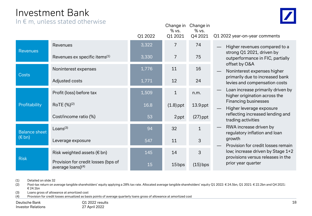### Investment Bank

In  $\epsilon$  m, unless stated otherwise



|                      |                                                                      | Q1 2022 | Change in<br>% vs.<br>Q1 2021 | Change in<br>% vs.<br>Q4 2021 | Q1 2022 year-on-year                  |
|----------------------|----------------------------------------------------------------------|---------|-------------------------------|-------------------------------|---------------------------------------|
| <b>Revenues</b>      | Revenues                                                             | 3,322   | 7                             | 74                            | Higher revenue                        |
|                      | Revenues ex specific items <sup>(1)</sup>                            | 3,330   | $\overline{7}$                | 75                            | strong Q1 2021<br>outperformanc       |
| <b>Costs</b>         | Noninterest expenses                                                 | 1,776   | 11                            | 16                            | offset by O&A<br>Noninterest exp      |
|                      | Adjusted costs                                                       | 1,771   | 12                            | 24                            | primarily due to<br>levies and comp   |
|                      | Profit (loss) before tax                                             | 1,509   | $\mathbf{1}$                  | n.m.                          | Loan increase p<br>higher originati   |
| Profitability        | RoTE (%) <sup>(2)</sup>                                              | 16.8    | $(1.8)$ ppt                   | $13.9$ ppt                    | Financing busir<br>Higher leverage    |
|                      | Cost/income ratio (%)                                                | 53      | 2 ppt                         | $(27)$ ppt                    | reflecting incre<br>trading activitie |
| <b>Balance sheet</b> | Loans $(3)$                                                          | 94      | 32                            | $\mathbf{1}$                  | RWA increase<br>regulatory infla      |
| $(\epsilon$ bn)      | Leverage exposure                                                    | 547     | 11                            | 3                             | growth<br>Provision for cr            |
|                      | Risk weighted assets ( $\epsilon$ bn)                                | 145     | 14                            | 3                             | low; increase di<br>provisions vers   |
| <b>Risk</b>          | Provision for credit losses (bps of<br>average loans) <sup>(4)</sup> | 15      | 15 bps                        | $(15)$ bps                    | prior year quart                      |

r comments

- es compared to a L, driven by e in FIC, partially
- penses higher p increased bank pensation costs
- primarily driven by ion across the **nesses**
- e exposure ased lending and trading activities
- driven by tion and loan
- edit losses remain riven by Stage 1+2 us releases in the prior year quarter

(3) Loans gross of allowance at amortized cost

(4) Provision for credit losses annualized as basis points of average quarterly loans gross of allowance at amortized cost

Q1 2022 results 27 April 2022

<sup>(1)</sup> Detailed on slide 32

<sup>(2)</sup> Post-tax return on average tangible shareholders' equity applying a 28% tax rate. Allocated average tangible shareholders' equity Q1 2022: € 24.5bn, Q1 2021: € 22.2bn and Q4 2021: € 24.1bn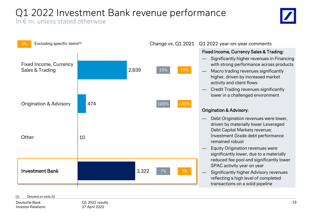### Q1 2022 Investment Bank revenue performance In  $\epsilon$  m, unless stated otherwise



#### Change vs. Q1 2021 Q1 2022 year-on-year comments

#### Fixed Income, Currency Sales & Trading:

- Significantly higher revenues in Financing with strong performance across products
- Macro trading revenues significantly higher, driven by increased market activity and client flows
- Credit Trading revenues significantly lower in a challenged environment

#### Origination & Advisory:

- Debt Origination revenues were lower, driven by materially lower Leveraged Debt Capital Markets revenue; Investment Grade debt performance remained robust
- Equity Origination revenues were significantly lower, due to a materially reduced fee pool and significantly lower SPAC activity year on year
- Significantly higher Advisory revenues reflecting a high level of completed transactions on a solid pipeline

#### (1) Detailed on slide 32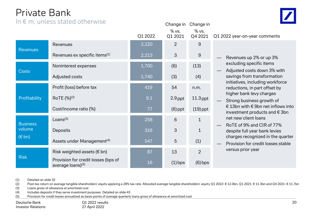### Private Bank

In  $\epsilon$  m, unless stated otherwise

|                           |                                                          | Q1 2022 | % vs.<br>Q1 2021 | % vs.<br>Q4 2021 | Q1 2022 year-on-year comments                                      |
|---------------------------|----------------------------------------------------------|---------|------------------|------------------|--------------------------------------------------------------------|
|                           | Revenues                                                 | 2,220   | $\overline{2}$   | 9                |                                                                    |
| <b>Revenues</b>           | Revenues ex specific items <sup>(1)</sup>                | 2,213   | 3                | 9                | Revenues up 2% or up 3%                                            |
|                           | Noninterest expenses                                     | 1,700   | (6)              | (13)             | excluding specific items<br>Adjusted costs down 3% wi              |
| <b>Costs</b>              | Adjusted costs                                           | 1,740   | (3)              | (4)              | savings from transformation                                        |
|                           | Profit (loss) before tax                                 | 419     | 54               | n.m.             | initiatives, including workfo<br>reductions, in part offset by     |
| Profitability             | RoTE (%) <sup>(2)</sup>                                  | 9.1     | $2.9$ ppt        | $11.3$ ppt       | higher bank levy charges<br>Strong business growth of              |
|                           | Cost/income ratio (%)                                    | 77      | $(6)$ ppt        | $(19)$ ppt       | € 13bn with € 9bn net inflow<br>investment products and $\epsilon$ |
| <b>Business</b>           | Loans <sup>(3)</sup>                                     | 258     | 6                | 1                | net new client loans                                               |
| volume<br>$(\epsilon$ bn) | Deposits                                                 | 316     | 3                | 1                | RoTE of 9% and CIR of 77%<br>despite full year bank levies         |
|                           | Assets under Management <sup>(4)</sup>                   | 547     | 5                | (1)              | charges recognized in the c<br>Provision for credit losses s       |
| <b>Risk</b>               | Risk weighted assets ( $\epsilon$ bn)                    | 87      | 13               | $\overline{2}$   | versus prior year                                                  |
|                           | Provision for credit losses (bps of<br>average loans)(5) | 16      | $(1)$ bps        | $(6)$ bps        |                                                                    |

- excluding specific items — Adjusted costs down 3% with savings from transformation initiatives, including workforce reductions, in part offset by higher bank levy charges
- Strong business growth of € 13bn with € 9bn net inflows into investment products and  $\epsilon$  3bn net new client loans
- RoTE of 9% and CIR of 77% despite full year bank levies charges recognized in the quarter
- Provision for credit losses stable versus prior year

(1) Detailed on slide 32

(2) Post-tax return on average tangible shareholders' equity applying a 28% tax rate. Allocated average tangible shareholders' equity Q1 2022: € 12.0bn, Q1 2021: € 11.3bn and Q4 2021: € 11.7bn

Change in Change in

(3) Loans gross of allowance at amortized cost

(4) Includes deposits if they serve investment purposes. Detailed on slide 43

(5) Provision for credit losses annualized as basis points of average quarterly loans gross of allowance at amortized cost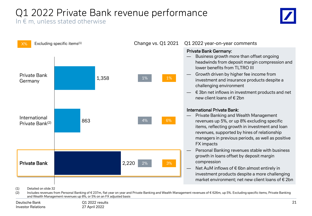# Q1 2022 Private Bank revenue performance

In  $\epsilon$  m, unless stated otherwise





(1) Detailed on slide 32

(2) Includes revenues from Personal Banking of € 237m, flat year on year and Private Banking and Wealth Management revenues of € 626m, up 5%. Excluding specific items, Private Banking and Wealth Management revenues up 8%, or 5% on an FX adjusted basis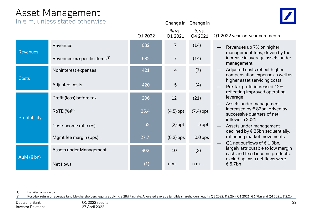### Asset Management

In  $\epsilon$  m, unless stated otherwise

|  |                 | <u>III E III, UNIESS SIALEU OLNENVISE</u> |         | Change in        | Change in        |                                                                                                                     |
|--|-----------------|-------------------------------------------|---------|------------------|------------------|---------------------------------------------------------------------------------------------------------------------|
|  |                 |                                           | Q1 2022 | % vs.<br>Q1 2021 | % vs.<br>Q4 2021 | Q1 2022 year-on-year comments                                                                                       |
|  | <b>Revenues</b> | Revenues                                  | 682     | 7                | (14)             | Revenues up 7% on higher<br>management fees, driven by the                                                          |
|  |                 | Revenues ex specific items <sup>(1)</sup> | 682     | 7                | (14)             | increase in average assets under<br>management                                                                      |
|  | <b>Costs</b>    | Noninterest expenses                      | 421     | $\overline{4}$   | (7)              | Adjusted costs reflect higher<br>compensation expense as well as                                                    |
|  |                 | Adjusted costs                            | 420     | $\sqrt{5}$       | (4)              | higher asset servicing costs<br>Pre-tax profit increased 12%                                                        |
|  |                 | Profit (loss) before tax                  | 206     | 12               | (21)             | reflecting improved operating<br>leverage                                                                           |
|  | Profitability   | RoTE (%) <sup>(2)</sup>                   | 25.4    | $(4.5)$ ppt      | $(7.4)$ ppt      | Assets under management<br>increased by $\epsilon$ 82bn, driven by<br>successive quarters of net<br>inflows in 2021 |
|  |                 | Cost/income ratio (%)                     | 62      | $(2)$ ppt        | 5 ppt            | Assets under management<br>declined by € 25bn sequentially,                                                         |
|  |                 | Mgmt fee margin (bps)                     | 27.7    | $(0.2)$ bps      | $0.0$ bps        | reflecting market movements<br>Q1 net outflows of $\epsilon$ 1.0bn,                                                 |
|  | AuM $(E \, bn)$ | Assets under Management                   | 902     | 10               | (3)              | largely attributable to low margin<br>cash and fixed income products;                                               |
|  |                 | Net flows                                 | (1)     | n.m.             | n.m.             | excluding cash net flows were<br>€ 5.7bn                                                                            |

(1) Detailed on slide 32

(2) Post-tax return on average tangible shareholders' equity applying a 28% tax rate. Allocated average tangible shareholders' equity Q1 2022: € 2.2bn, Q1 2021: € 1.7bn and Q4 2021: € 2.2bn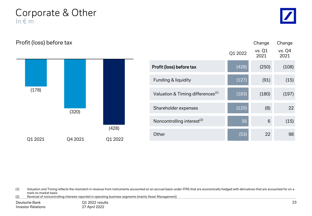Corporate & Other In € m

Profit (loss) before tax



|                                               |         | Change         | Change         |
|-----------------------------------------------|---------|----------------|----------------|
|                                               | Q1 2022 | vs. Q1<br>2021 | vs. Q4<br>2021 |
| Profit (loss) before tax                      | (428)   | (250)          | (108)          |
| Funding & liquidity                           | (127)   | (91)           | (15)           |
| Valuation & Timing differences <sup>(1)</sup> | (183)   | (180)          | (197)          |
| Shareholder expenses                          | (120)   | (8)            | 22             |
| Noncontrolling interest <sup>(2)</sup>        | 56      | 6              | (15)           |
| Other                                         | (53)    | 22             | 98             |

(1) Valuation and Timing reflects the mismatch in revenue from instruments accounted on an accrual basis under IFRS that are economically hedged with derivatives that are accounted for on a mark-to-market basis

(2) Reversal of noncontrolling interests reported in operating business segments (mainly Asset Management)

| Deutsche Bank             | O1 2022 results |
|---------------------------|-----------------|
| <b>Investor Relations</b> | 27 April 2022   |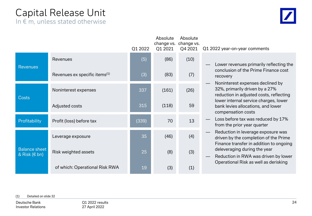# Capital Release Unit

In  $\epsilon$  m, unless stated otherwise

|  |                                                |                                           | Q1 2022 | Absolute<br>change vs.<br>Q1 2021 | Absolute<br>change vs.<br>Q4 2021 | Q1 2022 year-on-year comments                                                                                          |
|--|------------------------------------------------|-------------------------------------------|---------|-----------------------------------|-----------------------------------|------------------------------------------------------------------------------------------------------------------------|
|  | <b>Revenues</b>                                | Revenues                                  | (5)     | (86)                              | (10)                              | Lower revenues primarily reflecting the                                                                                |
|  |                                                | Revenues ex specific items <sup>(1)</sup> | (3)     | (83)                              | (7)                               | conclusion of the Prime Finance cost<br>recovery                                                                       |
|  | <b>Costs</b>                                   | Noninterest expenses                      | 337     | (161)                             | (26)                              | Noninterest expenses declined by<br>32%, primarily driven by a 27%<br>reduction in adjusted costs, reflecting          |
|  |                                                | Adjusted costs                            | 315     | (118)                             | 59                                | lower internal service charges, lower<br>bank levies allocations, and lower<br>compensation costs                      |
|  | Profitability                                  | Profit (loss) before tax                  | (339)   | 70                                | 13                                | Loss before tax was reduced by 17%<br>from the prior year quarter                                                      |
|  |                                                | Leverage exposure                         | 35      | (46)                              | (4)                               | Reduction in leverage exposure was<br>driven by the completion of the Prime<br>Finance transfer in addition to ongoing |
|  | <b>Balance sheet</b><br>& Risk $(\epsilon$ bn) | Risk weighted assets                      | 25      | (8)                               | (3)                               | deleveraging during the year<br>Reduction in RWA was driven by lower<br>Operational Risk as well as derisking          |
|  |                                                | of which: Operational Risk RWA            | 19      | (3)                               | (1)                               |                                                                                                                        |

#### (1) Detailed on slide 32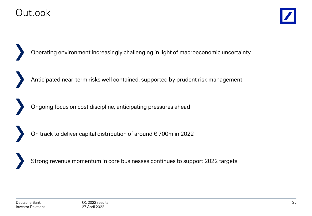### **Outlook**



Operating environment increasingly challenging in light of macroeconomic uncertainty

Anticipated near-term risks well contained, supported by prudent risk management

Ongoing focus on cost discipline, anticipating pressures ahead

On track to deliver capital distribution of around € 700m in 2022

Strong revenue momentum in core businesses continues to support 2022 targets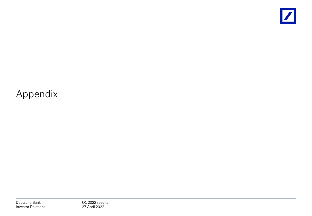

# Appendix

Deutsche Bank Investor Relations Q1 2022 results 27 April 2022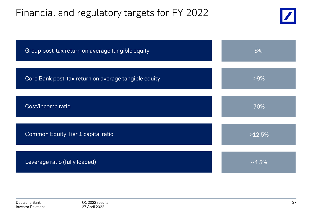### Financial and regulatory targets for FY 2022



| Group post-tax return on average tangible equity     | 8%        |
|------------------------------------------------------|-----------|
| Core Bank post-tax return on average tangible equity | $>9\%$    |
| Cost/income ratio                                    | 70%       |
| Common Equity Tier 1 capital ratio                   | >12.5%    |
| Leverage ratio (fully loaded)                        | $~14.5\%$ |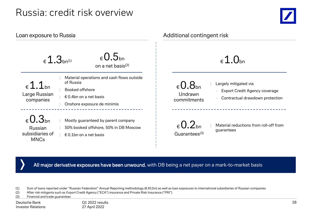### Russia: credit risk overview



| Loan exposure to Russia                                                   |                                                                                                                                     | Additional contingent risk                                                                                                                                 |  |  |  |  |  |  |
|---------------------------------------------------------------------------|-------------------------------------------------------------------------------------------------------------------------------------|------------------------------------------------------------------------------------------------------------------------------------------------------------|--|--|--|--|--|--|
|                                                                           | $_{\epsilon}$ 0.5 <sub>bn</sub><br>$\epsilon$ 1.3 <sub>bn(1)</sub><br>on a net basis <sup>(2)</sup>                                 | $\epsilon$ 1.0 <sub>bn</sub>                                                                                                                               |  |  |  |  |  |  |
| $\epsilon$ 1.1bn<br>Large Russian<br>companies                            | Material operations and cash flows outside<br>of Russia<br>Booked offshore<br>€ 0.4bn on a net basis<br>Onshore exposure de minimis | Largely mitigated via<br>$_{\rm 6}$ 0.8 <sub>bn</sub><br><b>Export Credit Agency coverage</b><br>Undrawn<br>Contractual drawdown protection<br>commitments |  |  |  |  |  |  |
| $_{\rm 6}$ 0.3 <sub>bn</sub><br>Russian<br>subsidiaries of<br><b>MNCs</b> | Mostly guaranteed by parent company<br>50% booked offshore, 50% in DB Moscow<br>€ 0.1bn on a net basis                              | $_{\epsilon}$ 0.2 <sub>bn</sub><br>Material reductions from roll-off from<br>guarantees<br>Guarantees <sup>(3)</sup>                                       |  |  |  |  |  |  |

All major derivative exposures have been unwound, with DB being a net payer on a mark-to-market basis

(1) Sum of loans reported under "Russian Federation" Annual Reporting methodology (€ 812m) as well as loan exposures to international subsidiaries of Russian companies

(2) After risk mitigants such as Export Credit Agency ("ECA") insurance and Private Risk Insurance ("PRI")

(3) Financial and trade guarantees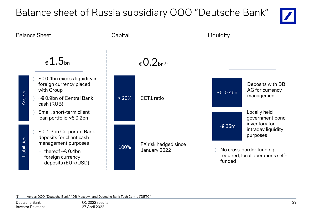# Balance sheet of Russia subsidiary OOO "Deutsche Bank"





(1) Across OOO "Deutsche Bank" ('DB Moscow') and Deutsche Bank Tech Centre ('DBTC')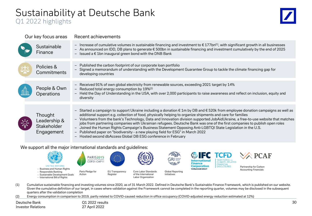# Sustainability at Deutsche Bank

### Q1 2022 highlights



| Our key focus areas                                  | Recent achievements                                                                                                                                                                                                                                                                                                                                                                                                                                                                                                                                                                                                                                                                                                                                                                                                                |
|------------------------------------------------------|------------------------------------------------------------------------------------------------------------------------------------------------------------------------------------------------------------------------------------------------------------------------------------------------------------------------------------------------------------------------------------------------------------------------------------------------------------------------------------------------------------------------------------------------------------------------------------------------------------------------------------------------------------------------------------------------------------------------------------------------------------------------------------------------------------------------------------|
| Sustainable<br>Finance                               | - Increase of cumulative volumes in sustainable financing and investment to $\epsilon$ 177bn <sup>(1)</sup> , with significant growth in all businesses<br>- As announced on IDD, DB plans to generate € 500bn in sustainable financing and investment cumulatively by the end of 2025<br>- Issued a $\epsilon$ 1bn inaugural green bond with the DNB Bank                                                                                                                                                                                                                                                                                                                                                                                                                                                                         |
| Policies &<br>Commitments                            | - Published the carbon footprint of our corporate loan portfolio<br>- Signed a memorandum of understanding with the Development Guarantee Group to tackle the climate financing gap for<br>developing countries                                                                                                                                                                                                                                                                                                                                                                                                                                                                                                                                                                                                                    |
| People & Own<br><b>Operations</b>                    | - Received 91% of own global electricity from renewable sources, exceeding 2021 target by 14%<br>- Reduced total energy consumption by $19\%^{(2)}$<br>- Held the Day of Understanding in the USA, with over 2,000 participants to raise awareness and reflect on inclusion, equity and<br>diversity                                                                                                                                                                                                                                                                                                                                                                                                                                                                                                                               |
| Thought<br>Leadership &<br>Stakeholder<br>Engagement | - Started a campaign to support Ukraine including a donation $\epsilon$ 1m by DB and $\epsilon$ 520k from employee donation campaigns as well as<br>additional support e.g. collection of food, physically helping to organize shipments and care for families<br>Volunteers from the bank's Technology, Data and Innovation division supported JobAidUkraine, a free-to-use website that matches<br>$-$<br>jobs from partnering companies with Ukrainian refugees. Deutsche Bank was one of the first companies to publish open roles<br>Joined the Human Rights Campaign's Business Statement Opposing Anti-LGBTQI State Legislation in the U.S.<br>$\overline{\phantom{a}}$<br>- Published paper on "biodiversity - a new playing field for ESG" in March 2022<br>- Hosted second dbAccess Global DB ESG conference in February |

#### We support all the major international standards and guidelines:



- (1) Cumulative sustainable financing and investing volumes since 2020, as of 31 March 2022. Defined in Deutsche Bank's Sustainable Finance Framework, which is published on our website. Given the cumulative definition of our target, in cases where validation against the Framework cannot be completed in the reporting quarter, volumes may be disclosed in the subsequent quarters after the validation completion
- (2) Energy consumption in comparison to 2019, partly related to COVID-caused reduction in office occupancy (COVID-adjusted energy reduction estimated at 12%)

Deutsche Bank Investor Relations Q1 2022 results 27 April 2022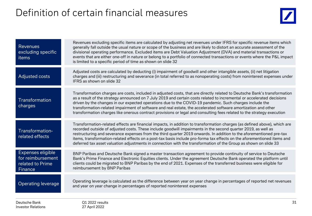# Definition of certain financial measures



| <b>Revenues</b><br>excluding specific<br>items                        | Revenues excluding specific items are calculated by adjusting net revenues under IFRS for specific revenue items which<br>generally fall outside the usual nature or scope of the business and are likely to distort an accurate assessment of the<br>divisional operating performance. Excluded items are Debt Valuation Adjustment (DVA) and material transactions or<br>events that are either one-off in nature or belong to a portfolio of connected transactions or events where the P&L impact<br>is limited to a specific period of time as shown on slide 32                                            |
|-----------------------------------------------------------------------|------------------------------------------------------------------------------------------------------------------------------------------------------------------------------------------------------------------------------------------------------------------------------------------------------------------------------------------------------------------------------------------------------------------------------------------------------------------------------------------------------------------------------------------------------------------------------------------------------------------|
| Adjusted costs                                                        | Adjusted costs are calculated by deducting (i) impairment of goodwill and other intangible assets, (ii) net litigation<br>charges and (iii) restructuring and severance (in total referred to as nonoperating costs) from noninterest expenses under<br>IFRS as shown on slide 32                                                                                                                                                                                                                                                                                                                                |
| Transformation<br>charges                                             | Transformation charges are costs, included in adjusted costs, that are directly related to Deutsche Bank's transformation<br>as a result of the strategy announced on 7 July 2019 and certain costs related to incremental or accelerated decisions<br>driven by the changes in our expected operations due to the COVID-19 pandemic. Such charges include the<br>transformation-related impairment of software and real estate, the accelerated software amortization and other<br>transformation charges like onerous contract provisions or legal and consulting fees related to the strategy execution       |
| Transformation-<br>related effects                                    | Transformation-related effects are financial impacts, in addition to transformation charges (as defined above), which are<br>recorded outside of adjusted costs. These include goodwill impairments in the second quarter 2019, as well as<br>restructuring and severance expenses from the third quarter 2019 onwards. In addition to the aforementioned pre-tax<br>items, transformation-related effects on a post-tax basis include pro-forma tax effects on the aforementioned items and<br>deferred tax asset valuation adjustments in connection with the transformation of the Group as shown on slide 33 |
| Expenses eligible<br>for reimbursement<br>related to Prime<br>Finance | BNP Paribas and Deutsche Bank signed a master transaction agreement to provide continuity of service to Deutsche<br>Bank's Prime Finance and Electronic Equities clients. Under the agreement Deutsche Bank operated the platform until<br>clients could be migrated to BNP Paribas by the end of 2021. Expenses of the transferred business were eligible for<br>reimbursement by BNP Paribas                                                                                                                                                                                                                   |
| <b>Operating leverage</b>                                             | Operating leverage is calculated as the difference between year on year change in percentages of reported net revenues<br>and year on year change in percentages of reported noninterest expenses                                                                                                                                                                                                                                                                                                                                                                                                                |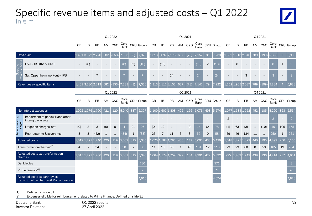### Specific revenue items and adjusted costs – Q1 2022 In € m



|                                                                          |                                                       |               |                |                   |     | Q1 2022      |                    |              |                                  | Q1 2021<br>Q4 2021 |       |                   |     |             |       |                          |                                  |                |             |               |     |                |              |                |                        |
|--------------------------------------------------------------------------|-------------------------------------------------------|---------------|----------------|-------------------|-----|--------------|--------------------|--------------|----------------------------------|--------------------|-------|-------------------|-----|-------------|-------|--------------------------|----------------------------------|----------------|-------------|---------------|-----|----------------|--------------|----------------|------------------------|
|                                                                          |                                                       | CB            | IB             | PB                |     | AM C&O       |                    |              | Core CRU Group<br>Bank CRU Group | CB                 | IB    | PB                |     | AM C&O      |       |                          | Core CRU Group<br>Bank CRU Group | CB             | IB          | PB            | AM  | <b>C&amp;O</b> | Core<br>Bank |                | CRU Group              |
|                                                                          | Revenues                                              | 1,461         | 3.322          |                   | 682 | (353)        | 7,333              | (5)          | 7,328                            | 1,313              | 3,097 | 2.178             | 637 | (73)        | 7.152 | 81                       | 7,233                            | 1,352          | 1,913       | 2.040         | 789 | (199)          | 5,895        | 5 <sup>5</sup> | 5,900                  |
| Specific<br>$\overline{\bullet}$                                         | DVA - IB Other / CRU                                  |               | (8)            |                   |     |              | (8)                | (2)          | (10)                             |                    | (15)  |                   |     |             | (15)  | 2                        | (13)                             |                | 8           |               |     |                | 8            | $\mathbf{1}$   | $\overline{9}$         |
| E                                                                        | Sal. Oppenheim workout - IPB                          |               |                |                   |     |              |                    |              |                                  |                    |       | 24                |     |             | 24    | $\overline{\phantom{a}}$ | 24                               |                |             | 3             |     |                | 3            |                | $\overline{3}$         |
|                                                                          | Revenues ex specific items                            | 1,461         |                | 3,330 2,213       | 682 | (353)        | ,333               | (3)          | ',330                            | L.313              |       | 3.112 2.153       | 637 | (73)        | L42   | 79                       |                                  | L,352          | 1,905       | 12.037        | 789 | (199)          |              |                | 5,888                  |
|                                                                          |                                                       |               |                | Q1 2022           |     |              |                    |              |                                  |                    |       |                   |     | Q1 2021     |       |                          |                                  | Q4 2021        |             |               |     |                |              |                |                        |
|                                                                          |                                                       | CB            | <b>IB</b>      | PB                |     | AM C&O       |                    |              | Core CRU Group<br>Bank CRU Group | CB                 | IB    | PB                |     | AM C&O      |       |                          | Core CRU Group<br>Bank CRU Group | CB             | <b>IB</b>   | PB            |     | AM C&O         |              |                | Core CRU Group<br>Bank |
|                                                                          | Noninterest expenses                                  | 1.022         | 1.776          | -700              | 421 | 120          | 5,040              | 337          | 5,377                            | $1.100\,$          | 1,607 | 1.808             | 405 | 156         | 5,076 | 498                      | 5,574                            | 1,077          | .534        | .952          | 452 | 185            | 5,200        | 363            | 5,564                  |
| Nonoperating                                                             | Impairment of goodwill and other<br>intangible assets |               |                |                   |     |              |                    |              |                                  |                    |       |                   |     |             |       |                          |                                  | $\overline{2}$ |             |               |     |                | 2            |                | $\overline{2}$         |
| costs                                                                    | Litigation charges, net                               | (0)           | $\overline{2}$ | 3                 | (0) | $\mathbf 0$  |                    | 21           | 26                               | (0)                | 12    | $\mathbf{1}$      |     | $\mathbf 0$ | 14    | 64                       | 78                               | (1)            | 63          | (3)           |     | (10)           | 49           | 106            | 155                    |
|                                                                          | Restructuring & severance                             | 3             | 3              | (42)              | 1   | $\mathbf{1}$ | (34)               | $\mathbf{1}$ | (33)                             | 25                 | 7     | 11                | 6   | 8           | 57    | 0                        | 58                               | 59             | 46          | 134           | 11  | $\mathbf{1}$   | 250          | $\mathbf{1}$   | 251                    |
|                                                                          | Adjusted costs                                        | $1,019$ 1,771 |                | 11.740            | 420 | 119          | $\overline{5,069}$ | 315          | 5,385                            | L.076              | 1,588 | 1,795             | 400 | 147         | 5,005 | 433                      | 5,439                            |                | 1,018 1,425 | 1.822         | 440 | 195            | 4,899        | 256            | 5,155                  |
|                                                                          | Transformation charges <sup>(1)</sup>                 |               |                | 34                |     |              | 38                 |              | 38                               | 11                 | 13    | 36                | 1   | 43          | 104   | 12                       | 116                              | 23             | 23          | 80            |     | 59             | 185          | 19             | 204                    |
| charges                                                                  | Adjusted costs ex transformation                      |               |                | 1,015 1,771 1,706 | 420 | 119          | 5,031              | 315          | 5,346                            |                    |       | 1,064 1,574 1,759 | 399 | 104         | 4,901 | 422                      | 5,322                            | 995            |             | $1,402$ 1,742 | 439 | 136            | 4,714        | 237            | 4,951                  |
| <b>Bank levies</b>                                                       |                                                       |               |                |                   |     |              |                    |              | 730                              |                    |       |                   |     |             |       |                          | 571                              |                |             |               |     |                |              |                | $\mathbf{3}$           |
| Prime Finance <sup>(2)</sup>                                             |                                                       |               |                |                   |     |              |                    |              |                                  |                    |       |                   |     |             |       |                          | 77                               |                |             |               |     |                |              |                | 70                     |
| Adjusted costs ex bank levies,<br>transformation charges & Prime Finance |                                                       |               |                |                   |     |              |                    |              | 4.616                            |                    |       |                   |     |             |       |                          | 4.674                            |                |             |               |     |                |              |                | 4,878                  |

(1) Defined on slide 31

(2) Expenses eligible for reimbursement related to Prime Finance. Defined on slide 31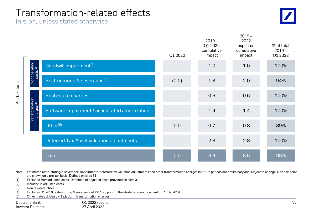### Transformation-related effects

In  $\epsilon$  bn, unless stated otherwise



 $2019 -$ 

|                                          |                                                | Q1 2022 | $2019 -$<br>Q1 2022<br>cumulative<br>impact | 2022<br>expected<br>cumulative<br>impact | % of total<br>$2019 -$<br>Q1 2022 |
|------------------------------------------|------------------------------------------------|---------|---------------------------------------------|------------------------------------------|-----------------------------------|
|                                          | Goodwill impairment <sup>(3)</sup>             |         | 1.0                                         | 1.0                                      | 100%                              |
| Nonoperating<br>costs <sup>(1)</sup>     | Restructuring & severance <sup>(4)</sup>       | (0.0)   | 1.8                                         | 2.0                                      | 94%                               |
|                                          | Real estate charges                            |         | 0.6                                         | 0.6                                      | 100%                              |
| Transformation<br>charges <sup>(2)</sup> | Software impairment / accelerated amortization |         | 1.4                                         | 1.4                                      | 100%                              |
|                                          | Other <sup>(5)</sup>                           | 0.0     | 0.7                                         | 0.8                                      | 89%                               |
|                                          | Deferred Tax Asset valuation adjustments       |         | 2.8                                         | 2.8                                      | 100%                              |
|                                          | <b>Total</b>                                   | 0.0     | 8.4                                         | 8.6                                      | 98%                               |

Note: Estimated restructuring & severance, impairments, deferred tax valuation adjustments and other transformation charges in future periods are preliminary and subject to change. Non-tax items are shown on a pre-tax basis. Defined on slide 31

- (1) Excluded from adjusted costs. Definition of adjusted costs provided on slide 31
- (2) Included in adjusted costs
- (3) Non tax-deductible

Pre-tax items

- (4) Excludes H1 2019 restructuring & severance of € 0.1bn, prior to the strategic announcement on 7 July 2019
- (5) Other mainly driven by IT platform transformation charges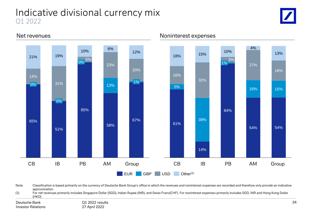### Indicative divisional currency mix Q1 2022





Net revenues and the set of the set of the Noninterest expenses

Note: Classification is based primarily on the currency of Deutsche Bank Group's office in which the revenues and noninterest expenses are recorded and therefore only provide an indicative approximation

(1) For net revenues primarily includes Singapore Dollar (SGD), Indian Rupee (INR), and Swiss Franc(CHF). For noninterest expenses primarily includes SGD, INR and Hong Kong Dollar (HKD)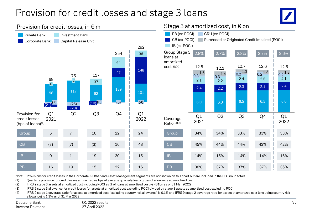### Provision for credit losses and stage 3 loans



#### 98 117 92 139 101 37 47 148 (25) 64 36  $(20)$ Q1 2021  $\frac{1}{(21)}$ <sup> $(7)$ </sup>  $\mathbf{0}_{\parallel}$  $(10)$  $(3)$   $(6)$ Q3 2 254 Q2 Q4  $(4)$ Q1 2022 69 75 117 292 Private Bank Investment Bank Corporate Bank Capital Release Unit 6.0 6.0 6.5 6.5 6.6 2.4 2.2 2.3 2.1 2.4  $2.1$  2.2 2.4 2.5  $2.1$  $0.3 \frac{1.6}{0.3}$   $1.4$   $0.2 \frac{1.3}{2.4}$   $0.2 \frac{1.3}{2.5}$   $0.2 \frac{1.3}{2.1}$ 12.5 12.5 Q1 2021 12.1 Q3 12.7 Q2  $0.2^{1.3}$ Q4  $0.2$ <sup>1.3</sup> Q1 2022 12.6 PB (ex-POCI) CRU (ex-POCI) CB (ex-POCI) Purchased or Originated Credit Impaired (POCI) IB (ex-POCI) Group Stage 3 loans at amortized  $cost \%^{(2)}$ 2.8% 2.7% 2.8% 2.7% Provision for credit losses (bps of loans)(1) Coverage Ratio (3)(4) Group | 6 | 7 | 10 | 22 | 24 | Group | 34% 34% 33% CB | (7) (7) (3) 16 | 48 CB | 45% 44% 44% PB 16 19 PB 36% 37% 37% IB 19 30 1 15 IB 14% 15% 14% 10 (3) 15 19 22 16 22 30 2.6% 33% 43% 37% 14% 24 48 16 15 33% 42% 36% 16%

Provision for credit losses, in  $\epsilon$  m  $\epsilon$  m Stage 3 at amortized cost, in  $\epsilon$  bn

Note: Provisions for credit losses in the Corporate & Other and Asset Management segments are not shown on this chart but are included in the DB Group totals

(1) Quarterly provision for credit losses annualized as bps of average quarterly loans gross of allowance at amortized cost

(2) IFRS 9 stage 3 assets at amortized cost including POCI as % of loans at amortized cost (€ 481bn as of 31 Mar 2022)

(3) IFRS 9 stage 3 allowance for credit losses for assets at amortized cost excluding POCI divided by stage 3 assets at amortized cost excluding POCI

(4) IFRS 9 stage 1 coverage ratio for assets at amortized cost (excluding country risk allowance) is 0.1% and IFRS 9 stage 2 coverage ratio for assets at amortized cost (excluding country risk allowance) is 1.3% as of 31 Mar 2022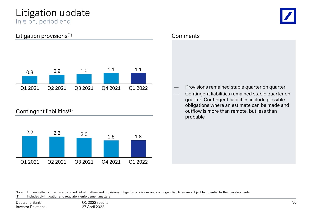### Litigation update In € bn, period end

### Litigation provisions<sup>(1)</sup>



### Contingent liabilities<sup>(1)</sup>



#### **Comments**

- ― Provisions remained stable quarter on quarter
- Contingent liabilities remained stable quarter on quarter. Contingent liabilities include possible obligations where an estimate can be made and outflow is more than remote, but less than probable

Note: Figures reflect current status of individual matters and provisions. Litigation provisions and contingent liabilities are subject to potential further developments

(1) Includes civil litigation and regulatory enforcement matters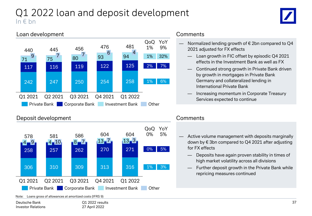### Q1 2022 loan and deposit development In  $\notin$  bn



#### Loan development



#### Deposit development



#### **Comments**

- Normalized lending growth of  $\epsilon$  2bn compared to Q4 2021 adjusted for FX effects
	- Loan growth in FIC offset by episodic Q4 2021 effects in the Investment Bank as well as FX
	- Continued strong growth in Private Bank driven by growth in mortgages in Private Bank Germany and collateralized lending in International Private Bank
	- Increasing momentum in Corporate Treasury Services expected to continue

### **Comments**

- Active volume management with deposits marginally down by € 3bn compared to Q4 2021 after adjusting for FX effects
	- Deposits have again proven stability in times of high market volatility across all divisions
	- Further deposit growth in the Private Bank while repricing measures continued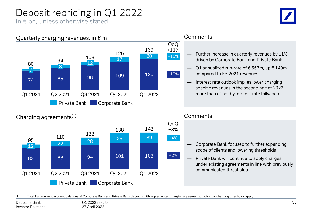# Deposit repricing in Q1 2022

In € bn, unless otherwise stated





### Charging agreements(1)



#### **Comments**

**Comments** 

- Further increase in quarterly revenues by 11% driven by Corporate Bank and Private Bank
- Q1 annualized run-rate of € 557m, up  $€ 149m$ compared to FY 2021 revenues
- Interest rate outlook implies lower charging specific revenues in the second half of 2022 more than offset by interest rate tailwinds

# — Corporate Bank focused to further expanding scope of clients and lowering thresholds

— Private Bank will continue to apply charges under existing agreements in line with previously communicated thresholds

(1) Total Euro current account balances of Corporate Bank and Private Bank deposits with implemented charging agreements. Individual charging thresholds apply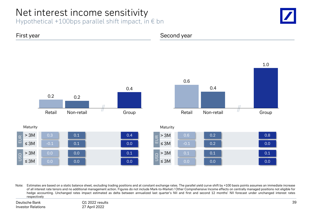### Net interest income sensitivity

Hypothetical +100bps parallel shift impact, in  $\epsilon$  bn





Note: Estimates are based on a static balance sheet, excluding trading positions and at constant exchange rates. The parallel yield curve shift by +100 basis points assumes an immediate increase of all interest rate tenors and no additional management action. Figures do not include Mark-to-Market / Other Comprehensive Income effects on centrally managed positions not eligible for hedge accounting. Unchanged rates impact estimated as delta between annualized last quarter's NII and first and second 12 months' NII forecast under unchanged interest rates respectively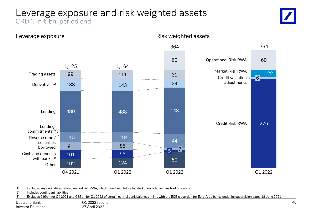### Leverage exposure and risk weighted assets CRD4, in € bn, period end





(1) Excludes any derivatives related market risk RWA, which have been fully allocated to non-derivatives trading assets

(2) Includes contingent liabilities

(3) Excludes € 99bn for Q4 2021 and € 83bn for Q1 2022 of certain central bank balances in line with the ECB's decision for Euro Area banks under its supervision dated 18 June 2021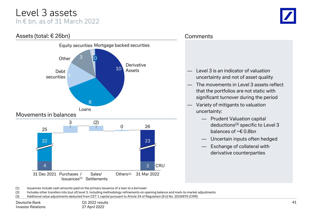### Level 3 assets In  $\epsilon$  bn, as of 31 March 2022



#### **Comments**

- Level 3 is an indicator of valuation uncertainty and not of asset quality
- The movements in Level 3 assets reflect that the portfolios are not static with significant turnover during the period
- Variety of mitigants to valuation uncertainty:
	- Prudent Valuation capital deductions(3) specific to Level 3 balances of ~€ 0.8bn
	- Uncertain inputs often hedged
	- Exchange of collateral with derivative counterparties

(1) Issuances include cash amounts paid on the primary issuance of a loan to a borrower

(2) Includes other transfers into (out of) level 3, including methodology refinements on opening balance and mark-to-market adjustments

(3) Additional value adjustments deducted from CET 1 capital pursuant to Article 34 of Regulation (EU) No. 2019/876 (CRR)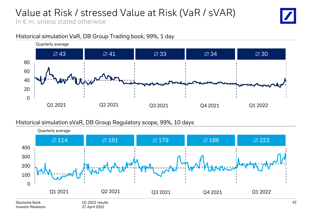# Value at Risk / stressed Value at Risk (VaR / sVAR)

In  $\epsilon$  m, unless stated otherwise



### Historical simulation VaR, DB Group Trading book, 99%, 1 day

### Historical simulation sVaR, DB Group Regulatory scope, 99%, 10 days

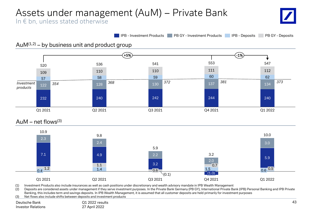# Assets under management (AuM) – Private Bank

In  $\epsilon$  bn, unless stated otherwise

**IPB - Investment Products PB GY - Investment Products IPB - Deposits PB GY - Deposits** 

### $AuM<sup>(1,2)</sup> - by business unit and product group$



(1) Investment Products also include insurances as well as cash positions under discretionary and wealth advisory mandate in IPB Wealth Management

Q1 2021 Q3 2021

(2) Deposits are considered assets under management if they serve investment purposes. In the Private Bank Germany (PB GY), International Private Bank (IPB) Personal Banking and IPB Private Banking, this includes term and savings deposits. In IPB Wealth Management, it is assumed that all customer deposits are held primarily for investment purposes

(3) Net flows also include shifts between deposits and investment products

Q1 2022 results 27 April 2022 Deutsche Bank Investor Relations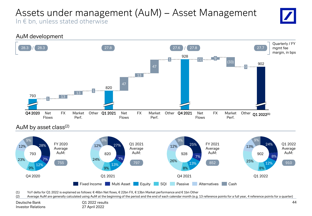### Assets under management (AuM) – Asset Management In  $\epsilon$  bn, unless stated otherwise





### AuM by asset class<sup>(2)</sup>



(1) YoY delta for Q1 2022 is explained as follows: € 46bn Net flows, € 22bn FX, € 13bn Market performance and € 1bn Other

(2) Average AuM are generally calculated using AuM at the beginning of the period and the end of each calendar month (e.g. 13 reference points for a full year, 4 reference points for a quarter)